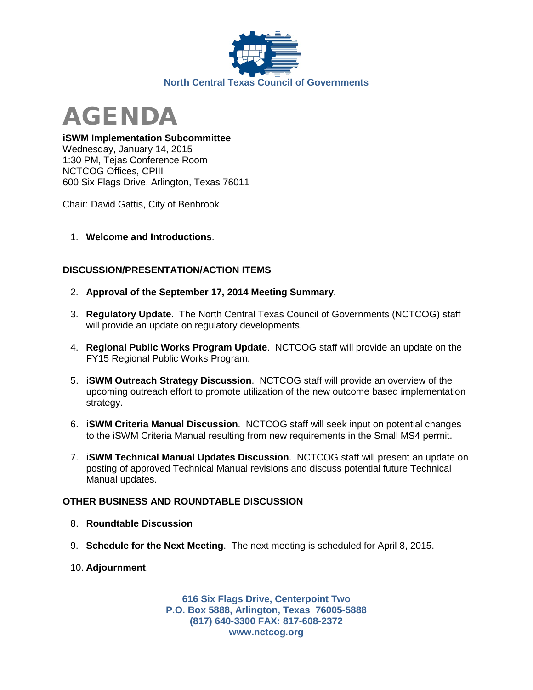



## **iSWM Implementation Subcommittee**

Wednesday, January 14, 2015 1:30 PM, Tejas Conference Room NCTCOG Offices, CPIII 600 Six Flags Drive, Arlington, Texas 76011

Chair: David Gattis, City of Benbrook

1. **Welcome and Introductions**.

## **DISCUSSION/PRESENTATION/ACTION ITEMS**

- 2. **Approval of the September 17, 2014 Meeting Summary**.
- 3. **Regulatory Update**. The North Central Texas Council of Governments (NCTCOG) staff will provide an update on regulatory developments.
- 4. **Regional Public Works Program Update**. NCTCOG staff will provide an update on the FY15 Regional Public Works Program.
- 5. **iSWM Outreach Strategy Discussion**. NCTCOG staff will provide an overview of the upcoming outreach effort to promote utilization of the new outcome based implementation strategy.
- 6. **iSWM Criteria Manual Discussion**. NCTCOG staff will seek input on potential changes to the iSWM Criteria Manual resulting from new requirements in the Small MS4 permit.
- 7. **iSWM Technical Manual Updates Discussion**. NCTCOG staff will present an update on posting of approved Technical Manual revisions and discuss potential future Technical Manual updates.

## **OTHER BUSINESS AND ROUNDTABLE DISCUSSION**

- 8. **Roundtable Discussion**
- 9. **Schedule for the Next Meeting**. The next meeting is scheduled for April 8, 2015.
- 10. **Adjournment**.

**616 Six Flags Drive, Centerpoint Two P.O. Box 5888, Arlington, Texas 76005-5888 (817) 640-3300 FAX: 817-608-2372 www.nctcog.org**